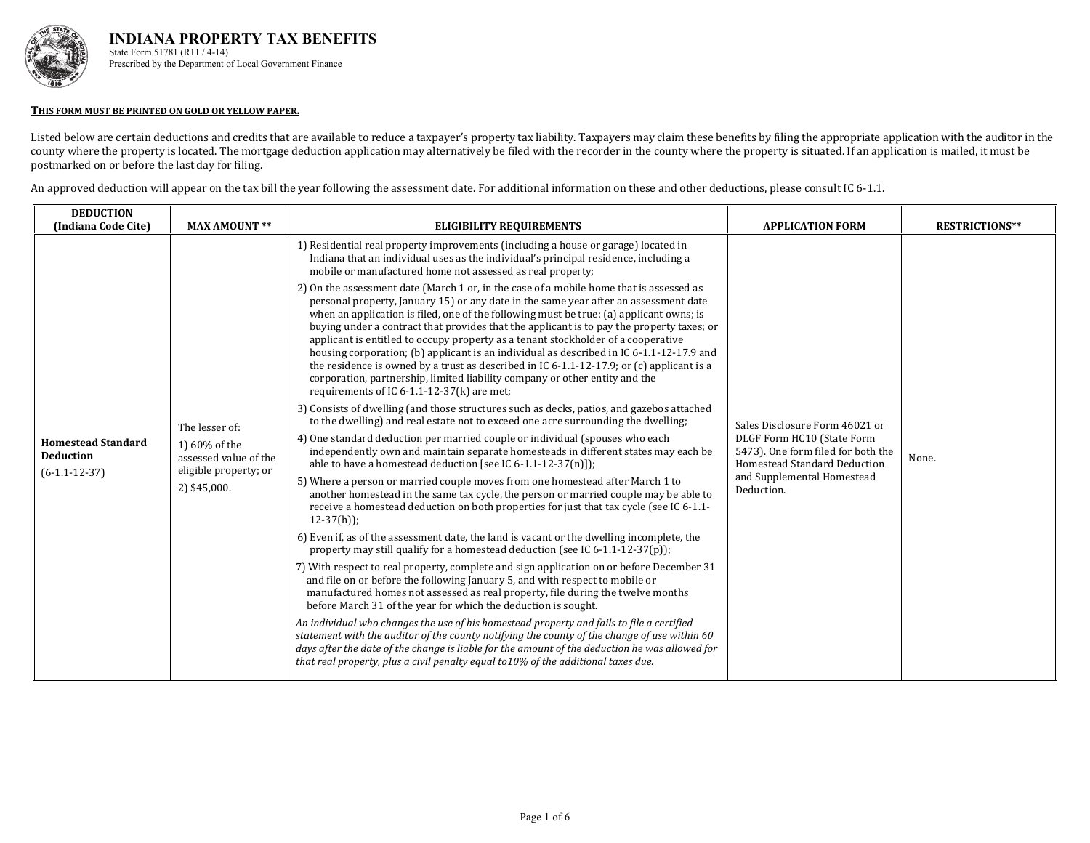

#### **THIS FORM MUST BE PRINTED ON GOLD OR YELLOW PAPER.**

Listed below are certain deductions and credits that are available to reduce a taxpayer's property tax liability. Taxpayers may claim these benefits by filing the appropriate application with the auditor in the county where the property is located. The mortgage deduction application may alternatively be filed with the recorder in the county where the property is situated. If an application is mailed, it must be postmarked on or before the last day for filing.

An approved deduction will appear on the tax bill the year following the assessment date. For additional information on these and other deductions, please consult IC 6-1.1.

| <b>DEDUCTION</b><br>(Indiana Code Cite)                          | <b>MAX AMOUNT **</b>                                                                              | <b>ELIGIBILITY REQUIREMENTS</b>                                                                                                                                                                                                                                                                                                                                                                                                                                                                                                                                                                                                                                                                                                                                                                                                                                                                                                                                                                                                                                                                                                                                                                                                                                                                                                                                                                                                                             | <b>APPLICATION FORM</b>                                                                                                                                                        | <b>RESTRICTIONS**</b> |
|------------------------------------------------------------------|---------------------------------------------------------------------------------------------------|-------------------------------------------------------------------------------------------------------------------------------------------------------------------------------------------------------------------------------------------------------------------------------------------------------------------------------------------------------------------------------------------------------------------------------------------------------------------------------------------------------------------------------------------------------------------------------------------------------------------------------------------------------------------------------------------------------------------------------------------------------------------------------------------------------------------------------------------------------------------------------------------------------------------------------------------------------------------------------------------------------------------------------------------------------------------------------------------------------------------------------------------------------------------------------------------------------------------------------------------------------------------------------------------------------------------------------------------------------------------------------------------------------------------------------------------------------------|--------------------------------------------------------------------------------------------------------------------------------------------------------------------------------|-----------------------|
| <b>Homestead Standard</b><br><b>Deduction</b><br>$(6-1.1-12-37)$ | The lesser of:<br>1) 60% of the<br>assessed value of the<br>eligible property; or<br>2) \$45,000. | 1) Residential real property improvements (including a house or garage) located in<br>Indiana that an individual uses as the individual's principal residence, including a<br>mobile or manufactured home not assessed as real property;<br>2) On the assessment date (March 1 or, in the case of a mobile home that is assessed as<br>personal property, January 15) or any date in the same year after an assessment date<br>when an application is filed, one of the following must be true: (a) applicant owns; is<br>buying under a contract that provides that the applicant is to pay the property taxes; or<br>applicant is entitled to occupy property as a tenant stockholder of a cooperative<br>housing corporation; (b) applicant is an individual as described in IC 6-1.1-12-17.9 and<br>the residence is owned by a trust as described in IC $6-1.1-12-17.9$ ; or (c) applicant is a<br>corporation, partnership, limited liability company or other entity and the<br>requirements of IC $6-1.1-12-37(k)$ are met;<br>3) Consists of dwelling (and those structures such as decks, patios, and gazebos attached<br>to the dwelling) and real estate not to exceed one acre surrounding the dwelling;<br>4) One standard deduction per married couple or individual (spouses who each<br>independently own and maintain separate homesteads in different states may each be<br>able to have a homestead deduction [see IC 6-1.1-12-37(n)]); | Sales Disclosure Form 46021 or<br>DLGF Form HC10 (State Form<br>5473). One form filed for both the<br>Homestead Standard Deduction<br>and Supplemental Homestead<br>Deduction. | None.                 |
|                                                                  |                                                                                                   | 5) Where a person or married couple moves from one homestead after March 1 to<br>another homestead in the same tax cycle, the person or married couple may be able to<br>receive a homestead deduction on both properties for just that tax cycle (see IC 6-1.1-<br>$12-37(h)$ ;<br>6) Even if, as of the assessment date, the land is vacant or the dwelling incomplete, the<br>property may still qualify for a homestead deduction (see IC 6-1.1-12-37(p));<br>7) With respect to real property, complete and sign application on or before December 31<br>and file on or before the following January 5, and with respect to mobile or<br>manufactured homes not assessed as real property, file during the twelve months<br>before March 31 of the year for which the deduction is sought.<br>An individual who changes the use of his homestead property and fails to file a certified<br>statement with the auditor of the county notifying the county of the change of use within 60<br>days after the date of the change is liable for the amount of the deduction he was allowed for<br>that real property, plus a civil penalty equal to 10% of the additional taxes due.                                                                                                                                                                                                                                                                        |                                                                                                                                                                                |                       |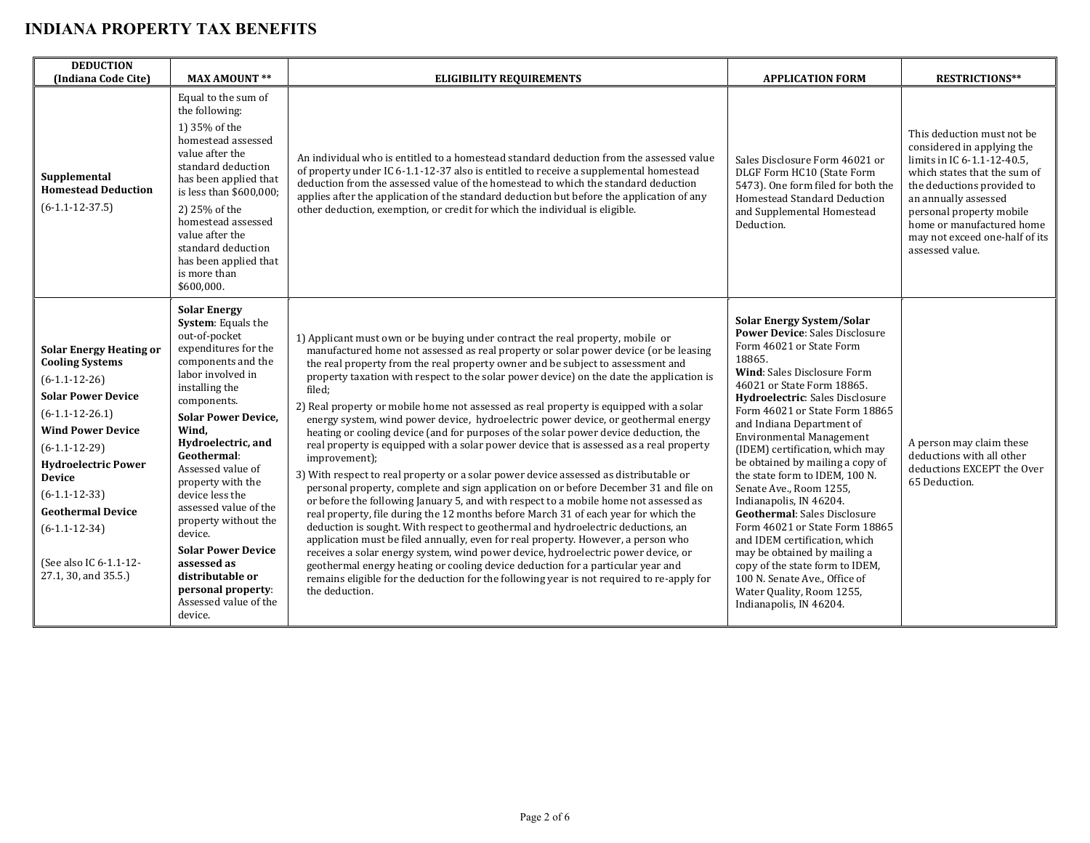| <b>DEDUCTION</b><br>(Indiana Code Cite)                                                                                                                                                                                                                                                                                                         | <b>MAX AMOUNT **</b>                                                                                                                                                                                                                                                                                                                                                                                                                                                                                 | <b>ELIGIBILITY REQUIREMENTS</b>                                                                                                                                                                                                                                                                                                                                                                                                                                                                                                                                                                                                                                                                                                                                                                                                                                                                                                                                                                                                                                                                                                                                                                                                                                                                                                                                                                                                                                                                                                                                                      | <b>APPLICATION FORM</b>                                                                                                                                                                                                                                                                                                                                                                                                                                                                                                                                                                                                                                                                                                                                | <b>RESTRICTIONS**</b>                                                                                                                                                                                                                                                                       |
|-------------------------------------------------------------------------------------------------------------------------------------------------------------------------------------------------------------------------------------------------------------------------------------------------------------------------------------------------|------------------------------------------------------------------------------------------------------------------------------------------------------------------------------------------------------------------------------------------------------------------------------------------------------------------------------------------------------------------------------------------------------------------------------------------------------------------------------------------------------|--------------------------------------------------------------------------------------------------------------------------------------------------------------------------------------------------------------------------------------------------------------------------------------------------------------------------------------------------------------------------------------------------------------------------------------------------------------------------------------------------------------------------------------------------------------------------------------------------------------------------------------------------------------------------------------------------------------------------------------------------------------------------------------------------------------------------------------------------------------------------------------------------------------------------------------------------------------------------------------------------------------------------------------------------------------------------------------------------------------------------------------------------------------------------------------------------------------------------------------------------------------------------------------------------------------------------------------------------------------------------------------------------------------------------------------------------------------------------------------------------------------------------------------------------------------------------------------|--------------------------------------------------------------------------------------------------------------------------------------------------------------------------------------------------------------------------------------------------------------------------------------------------------------------------------------------------------------------------------------------------------------------------------------------------------------------------------------------------------------------------------------------------------------------------------------------------------------------------------------------------------------------------------------------------------------------------------------------------------|---------------------------------------------------------------------------------------------------------------------------------------------------------------------------------------------------------------------------------------------------------------------------------------------|
| Supplemental<br><b>Homestead Deduction</b><br>$(6-1.1-12-37.5)$                                                                                                                                                                                                                                                                                 | Equal to the sum of<br>the following:<br>1) 35% of the<br>homestead assessed<br>value after the<br>standard deduction<br>has been applied that<br>is less than \$600,000;<br>2) 25% of the<br>homestead assessed<br>value after the<br>standard deduction<br>has been applied that<br>is more than<br>\$600.000.                                                                                                                                                                                     | An individual who is entitled to a homestead standard deduction from the assessed value<br>of property under IC 6-1.1-12-37 also is entitled to receive a supplemental homestead<br>deduction from the assessed value of the homestead to which the standard deduction<br>applies after the application of the standard deduction but before the application of any<br>other deduction, exemption, or credit for which the individual is eligible.                                                                                                                                                                                                                                                                                                                                                                                                                                                                                                                                                                                                                                                                                                                                                                                                                                                                                                                                                                                                                                                                                                                                   | Sales Disclosure Form 46021 or<br>DLGF Form HC10 (State Form<br>5473). One form filed for both the<br>Homestead Standard Deduction<br>and Supplemental Homestead<br>Deduction.                                                                                                                                                                                                                                                                                                                                                                                                                                                                                                                                                                         | This deduction must not be<br>considered in applying the<br>limits in IC 6-1.1-12-40.5,<br>which states that the sum of<br>the deductions provided to<br>an annually assessed<br>personal property mobile<br>home or manufactured home<br>may not exceed one-half of its<br>assessed value. |
| <b>Solar Energy Heating or</b><br><b>Cooling Systems</b><br>$(6-1.1-12-26)$<br><b>Solar Power Device</b><br>$(6-1.1-12-26.1)$<br><b>Wind Power Device</b><br>$(6-1.1-12-29)$<br><b>Hydroelectric Power</b><br><b>Device</b><br>$(6-1.1-12-33)$<br><b>Geothermal Device</b><br>$(6-1.1-12-34)$<br>(See also IC 6-1.1-12-<br>27.1, 30, and 35.5.) | <b>Solar Energy</b><br><b>System:</b> Equals the<br>out-of-pocket<br>expenditures for the<br>components and the<br>labor involved in<br>installing the<br>components.<br><b>Solar Power Device,</b><br>Wind.<br>Hydroelectric, and<br>Geothermal:<br>Assessed value of<br>property with the<br>device less the<br>assessed value of the<br>property without the<br>device.<br><b>Solar Power Device</b><br>assessed as<br>distributable or<br>personal property:<br>Assessed value of the<br>device. | 1) Applicant must own or be buying under contract the real property, mobile or<br>manufactured home not assessed as real property or solar power device (or be leasing<br>the real property from the real property owner and be subject to assessment and<br>property taxation with respect to the solar power device) on the date the application is<br>filed;<br>2) Real property or mobile home not assessed as real property is equipped with a solar<br>energy system, wind power device, hydroelectric power device, or geothermal energy<br>heating or cooling device (and for purposes of the solar power device deduction, the<br>real property is equipped with a solar power device that is assessed as a real property<br>improvement);<br>3) With respect to real property or a solar power device assessed as distributable or<br>personal property, complete and sign application on or before December 31 and file on<br>or before the following January 5, and with respect to a mobile home not assessed as<br>real property, file during the 12 months before March 31 of each year for which the<br>deduction is sought. With respect to geothermal and hydroelectric deductions, an<br>application must be filed annually, even for real property. However, a person who<br>receives a solar energy system, wind power device, hydroelectric power device, or<br>geothermal energy heating or cooling device deduction for a particular year and<br>remains eligible for the deduction for the following year is not required to re-apply for<br>the deduction. | <b>Solar Energy System/Solar</b><br><b>Power Device: Sales Disclosure</b><br>Form 46021 or State Form<br>18865.<br>Wind: Sales Disclosure Form<br>46021 or State Form 18865.<br>Hydroelectric: Sales Disclosure<br>Form 46021 or State Form 18865<br>and Indiana Department of<br><b>Environmental Management</b><br>(IDEM) certification, which may<br>be obtained by mailing a copy of<br>the state form to IDEM, 100 N.<br>Senate Ave., Room 1255,<br>Indianapolis, IN 46204.<br><b>Geothermal:</b> Sales Disclosure<br>Form 46021 or State Form 18865<br>and IDEM certification, which<br>may be obtained by mailing a<br>copy of the state form to IDEM.<br>100 N. Senate Ave., Office of<br>Water Quality, Room 1255,<br>Indianapolis, IN 46204. | A person may claim these<br>deductions with all other<br>deductions EXCEPT the Over<br>65 Deduction.                                                                                                                                                                                        |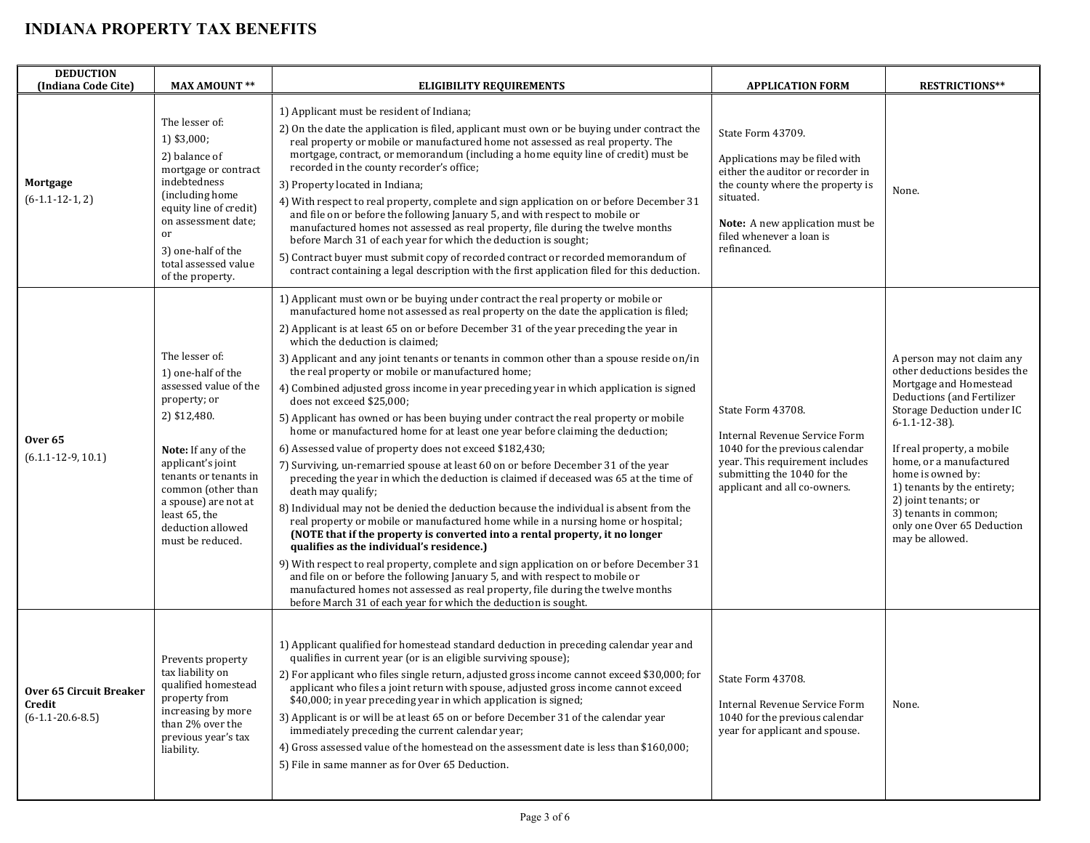| <b>DEDUCTION</b><br>(Indiana Code Cite)                        | <b>MAX AMOUNT **</b>                                                                                                                                                                                                                                                       | <b>ELIGIBILITY REQUIREMENTS</b>                                                                                                                                                                                                                                                                                                                                                                                                                                                                                                                                                                                                                                                                                                                                                                                                                                                                                                                                                                                                                                                                                                                                                                                                                                                                                                                                                                                                                                                                                                                                                                                                                                            | <b>APPLICATION FORM</b>                                                                                                                                                                                                 | <b>RESTRICTIONS**</b>                                                                                                                                                                                                                                                                                                                                                                            |
|----------------------------------------------------------------|----------------------------------------------------------------------------------------------------------------------------------------------------------------------------------------------------------------------------------------------------------------------------|----------------------------------------------------------------------------------------------------------------------------------------------------------------------------------------------------------------------------------------------------------------------------------------------------------------------------------------------------------------------------------------------------------------------------------------------------------------------------------------------------------------------------------------------------------------------------------------------------------------------------------------------------------------------------------------------------------------------------------------------------------------------------------------------------------------------------------------------------------------------------------------------------------------------------------------------------------------------------------------------------------------------------------------------------------------------------------------------------------------------------------------------------------------------------------------------------------------------------------------------------------------------------------------------------------------------------------------------------------------------------------------------------------------------------------------------------------------------------------------------------------------------------------------------------------------------------------------------------------------------------------------------------------------------------|-------------------------------------------------------------------------------------------------------------------------------------------------------------------------------------------------------------------------|--------------------------------------------------------------------------------------------------------------------------------------------------------------------------------------------------------------------------------------------------------------------------------------------------------------------------------------------------------------------------------------------------|
| Mortgage<br>$(6-1.1-12-1, 2)$                                  | The lesser of:<br>1) \$3,000;<br>2) balance of<br>mortgage or contract<br>indebtedness<br>(including home<br>equity line of credit)<br>on assessment date;<br>or<br>3) one-half of the<br>total assessed value<br>of the property.                                         | 1) Applicant must be resident of Indiana;<br>2) On the date the application is filed, applicant must own or be buying under contract the<br>real property or mobile or manufactured home not assessed as real property. The<br>mortgage, contract, or memorandum (including a home equity line of credit) must be<br>recorded in the county recorder's office;<br>3) Property located in Indiana;<br>4) With respect to real property, complete and sign application on or before December 31<br>and file on or before the following January 5, and with respect to mobile or<br>manufactured homes not assessed as real property, file during the twelve months<br>before March 31 of each year for which the deduction is sought;<br>5) Contract buyer must submit copy of recorded contract or recorded memorandum of<br>contract containing a legal description with the first application filed for this deduction.                                                                                                                                                                                                                                                                                                                                                                                                                                                                                                                                                                                                                                                                                                                                                   | State Form 43709.<br>Applications may be filed with<br>either the auditor or recorder in<br>the county where the property is<br>situated.<br>Note: A new application must be<br>filed whenever a loan is<br>refinanced. | None.                                                                                                                                                                                                                                                                                                                                                                                            |
| Over <sub>65</sub><br>$(6.1.1 - 12 - 9, 10.1)$                 | The lesser of:<br>1) one-half of the<br>assessed value of the<br>property; or<br>2) \$12,480.<br>Note: If any of the<br>applicant's joint<br>tenants or tenants in<br>common (other than<br>a spouse) are not at<br>least 65, the<br>deduction allowed<br>must be reduced. | 1) Applicant must own or be buying under contract the real property or mobile or<br>manufactured home not assessed as real property on the date the application is filed;<br>2) Applicant is at least 65 on or before December 31 of the year preceding the year in<br>which the deduction is claimed:<br>3) Applicant and any joint tenants or tenants in common other than a spouse reside on/in<br>the real property or mobile or manufactured home;<br>4) Combined adjusted gross income in year preceding year in which application is signed<br>does not exceed \$25,000;<br>5) Applicant has owned or has been buying under contract the real property or mobile<br>home or manufactured home for at least one year before claiming the deduction;<br>6) Assessed value of property does not exceed \$182,430;<br>7) Surviving, un-remarried spouse at least 60 on or before December 31 of the year<br>preceding the year in which the deduction is claimed if deceased was 65 at the time of<br>death may qualify;<br>8) Individual may not be denied the deduction because the individual is absent from the<br>real property or mobile or manufactured home while in a nursing home or hospital;<br>(NOTE that if the property is converted into a rental property, it no longer<br>qualifies as the individual's residence.)<br>9) With respect to real property, complete and sign application on or before December 31<br>and file on or before the following January 5, and with respect to mobile or<br>manufactured homes not assessed as real property, file during the twelve months<br>before March 31 of each year for which the deduction is sought. | State Form 43708.<br>Internal Revenue Service Form<br>1040 for the previous calendar<br>year. This requirement includes<br>submitting the 1040 for the<br>applicant and all co-owners.                                  | A person may not claim any<br>other deductions besides the<br>Mortgage and Homestead<br><b>Deductions</b> (and Fertilizer<br>Storage Deduction under IC<br>$6 - 1.1 - 12 - 38$ ).<br>If real property, a mobile<br>home, or a manufactured<br>home is owned by:<br>1) tenants by the entirety;<br>2) joint tenants; or<br>3) tenants in common;<br>only one Over 65 Deduction<br>may be allowed. |
| <b>Over 65 Circuit Breaker</b><br>Credit<br>$(6-1.1-20.6-8.5)$ | Prevents property<br>tax liability on<br>qualified homestead<br>property from<br>increasing by more<br>than 2% over the<br>previous year's tax<br>liability.                                                                                                               | 1) Applicant qualified for homestead standard deduction in preceding calendar year and<br>qualifies in current year (or is an eligible surviving spouse);<br>2) For applicant who files single return, adjusted gross income cannot exceed \$30,000; for<br>applicant who files a joint return with spouse, adjusted gross income cannot exceed<br>\$40,000; in year preceding year in which application is signed;<br>3) Applicant is or will be at least 65 on or before December 31 of the calendar year<br>immediately preceding the current calendar year;<br>4) Gross assessed value of the homestead on the assessment date is less than \$160,000;<br>5) File in same manner as for Over 65 Deduction.                                                                                                                                                                                                                                                                                                                                                                                                                                                                                                                                                                                                                                                                                                                                                                                                                                                                                                                                                             | State Form 43708.<br>Internal Revenue Service Form<br>1040 for the previous calendar<br>year for applicant and spouse.                                                                                                  | None.                                                                                                                                                                                                                                                                                                                                                                                            |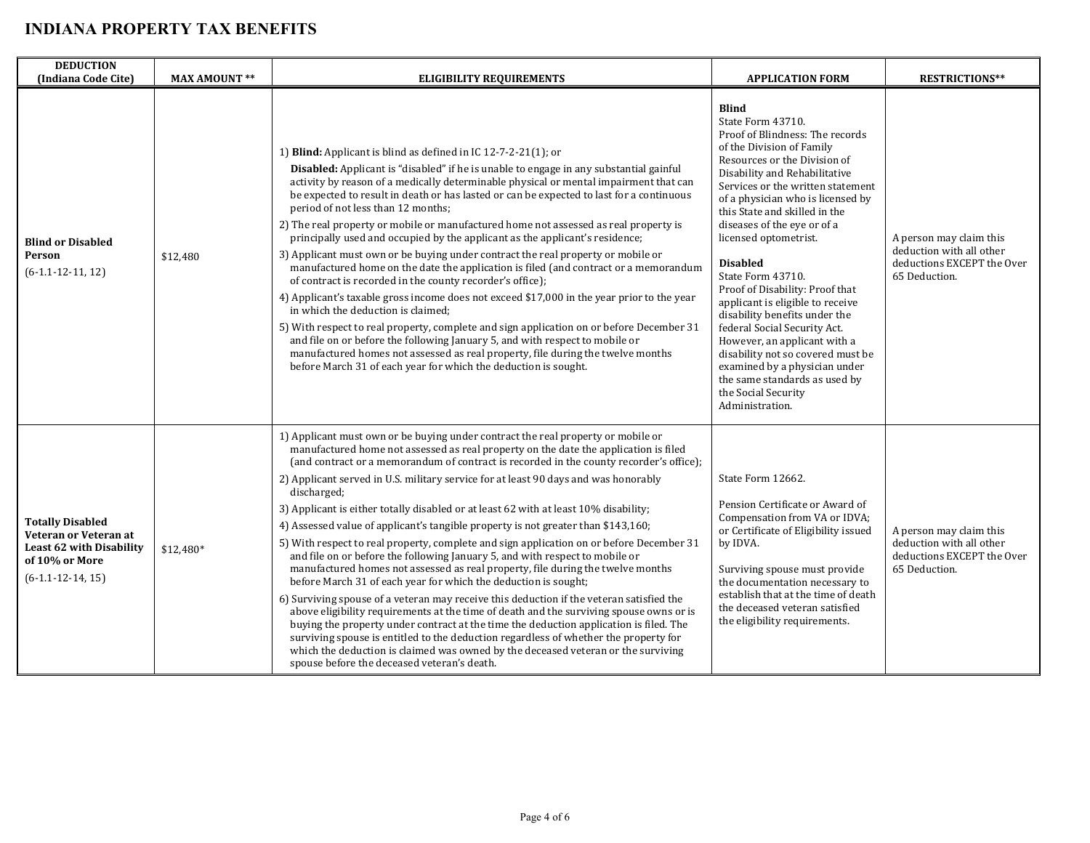| <b>DEDUCTION</b><br>(Indiana Code Cite)                                                                               | <b>MAX AMOUNT **</b> | ELIGIBILITY REQUIREMENTS                                                                                                                                                                                                                                                                                                                                                                                                                                                                                                                                                                                                                                                                                                                                                                                                                                                                                                                                                                                                                                                                                                                                                                                                                                                                                                                                                                              | <b>APPLICATION FORM</b>                                                                                                                                                                                                                                                                                                                                                                                                                                                                                                                                                                                                                                                                                | <b>RESTRICTIONS**</b>                                                                              |
|-----------------------------------------------------------------------------------------------------------------------|----------------------|-------------------------------------------------------------------------------------------------------------------------------------------------------------------------------------------------------------------------------------------------------------------------------------------------------------------------------------------------------------------------------------------------------------------------------------------------------------------------------------------------------------------------------------------------------------------------------------------------------------------------------------------------------------------------------------------------------------------------------------------------------------------------------------------------------------------------------------------------------------------------------------------------------------------------------------------------------------------------------------------------------------------------------------------------------------------------------------------------------------------------------------------------------------------------------------------------------------------------------------------------------------------------------------------------------------------------------------------------------------------------------------------------------|--------------------------------------------------------------------------------------------------------------------------------------------------------------------------------------------------------------------------------------------------------------------------------------------------------------------------------------------------------------------------------------------------------------------------------------------------------------------------------------------------------------------------------------------------------------------------------------------------------------------------------------------------------------------------------------------------------|----------------------------------------------------------------------------------------------------|
| <b>Blind or Disabled</b><br>Person<br>$(6-1.1-12-11, 12)$                                                             | \$12,480             | 1) Blind: Applicant is blind as defined in IC $12-7-2-21(1)$ ; or<br><b>Disabled:</b> Applicant is "disabled" if he is unable to engage in any substantial gainful<br>activity by reason of a medically determinable physical or mental impairment that can<br>be expected to result in death or has lasted or can be expected to last for a continuous<br>period of not less than 12 months;<br>2) The real property or mobile or manufactured home not assessed as real property is<br>principally used and occupied by the applicant as the applicant's residence;<br>3) Applicant must own or be buying under contract the real property or mobile or<br>manufactured home on the date the application is filed (and contract or a memorandum<br>of contract is recorded in the county recorder's office);<br>4) Applicant's taxable gross income does not exceed \$17,000 in the year prior to the year<br>in which the deduction is claimed;<br>5) With respect to real property, complete and sign application on or before December 31<br>and file on or before the following January 5, and with respect to mobile or<br>manufactured homes not assessed as real property, file during the twelve months<br>before March 31 of each year for which the deduction is sought.                                                                                                                  | <b>Blind</b><br>State Form 43710.<br>Proof of Blindness: The records<br>of the Division of Family<br>Resources or the Division of<br>Disability and Rehabilitative<br>Services or the written statement<br>of a physician who is licensed by<br>this State and skilled in the<br>diseases of the eye or of a<br>licensed optometrist.<br><b>Disabled</b><br>State Form 43710.<br>Proof of Disability: Proof that<br>applicant is eligible to receive<br>disability benefits under the<br>federal Social Security Act.<br>However, an applicant with a<br>disability not so covered must be<br>examined by a physician under<br>the same standards as used by<br>the Social Security<br>Administration. | A person may claim this<br>deduction with all other<br>deductions EXCEPT the Over<br>65 Deduction. |
| <b>Totally Disabled</b><br>Veteran or Veteran at<br>Least 62 with Disability<br>of 10% or More<br>$(6-1.1-12-14, 15)$ | \$12,480*            | 1) Applicant must own or be buying under contract the real property or mobile or<br>manufactured home not assessed as real property on the date the application is filed<br>(and contract or a memorandum of contract is recorded in the county recorder's office);<br>2) Applicant served in U.S. military service for at least 90 days and was honorably<br>discharged;<br>3) Applicant is either totally disabled or at least 62 with at least 10% disability;<br>4) Assessed value of applicant's tangible property is not greater than \$143,160;<br>5) With respect to real property, complete and sign application on or before December 31<br>and file on or before the following January 5, and with respect to mobile or<br>manufactured homes not assessed as real property, file during the twelve months<br>before March 31 of each year for which the deduction is sought;<br>6) Surviving spouse of a veteran may receive this deduction if the veteran satisfied the<br>above eligibility requirements at the time of death and the surviving spouse owns or is<br>buying the property under contract at the time the deduction application is filed. The<br>surviving spouse is entitled to the deduction regardless of whether the property for<br>which the deduction is claimed was owned by the deceased veteran or the surviving<br>spouse before the deceased veteran's death. | State Form 12662.<br>Pension Certificate or Award of<br>Compensation from VA or IDVA;<br>or Certificate of Eligibility issued<br>by IDVA.<br>Surviving spouse must provide<br>the documentation necessary to<br>establish that at the time of death<br>the deceased veteran satisfied<br>the eligibility requirements.                                                                                                                                                                                                                                                                                                                                                                                 | A person may claim this<br>deduction with all other<br>deductions EXCEPT the Over<br>65 Deduction. |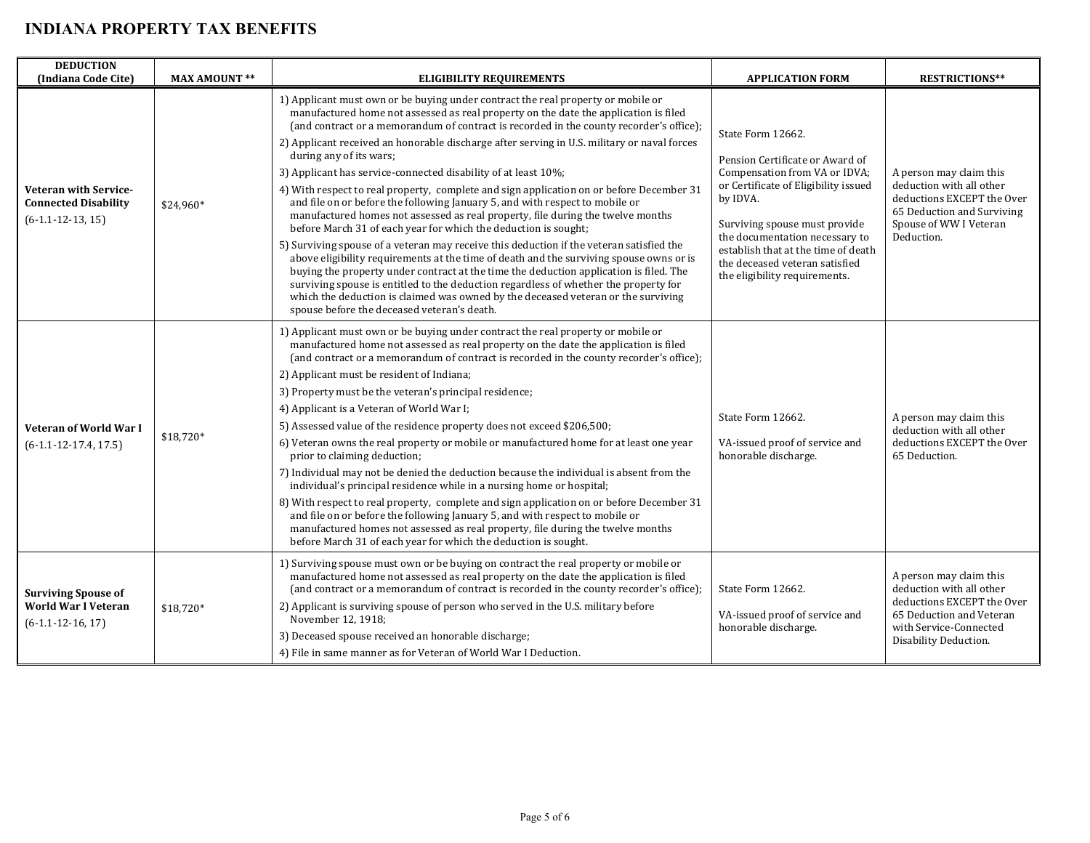| <b>DEDUCTION</b><br>(Indiana Code Cite)                                            | <b>MAX AMOUNT **</b> | <b>ELIGIBILITY REQUIREMENTS</b>                                                                                                                                                                                                                                                                                                                                                                                                                                                                                                                                                                                                                                                                                                                                                                                                                                                                                                                                                                                                                                                                                                                                                                                                                                                                                | <b>APPLICATION FORM</b>                                                                                                                                                                                                                                                                                                | <b>RESTRICTIONS**</b>                                                                                                                                            |
|------------------------------------------------------------------------------------|----------------------|----------------------------------------------------------------------------------------------------------------------------------------------------------------------------------------------------------------------------------------------------------------------------------------------------------------------------------------------------------------------------------------------------------------------------------------------------------------------------------------------------------------------------------------------------------------------------------------------------------------------------------------------------------------------------------------------------------------------------------------------------------------------------------------------------------------------------------------------------------------------------------------------------------------------------------------------------------------------------------------------------------------------------------------------------------------------------------------------------------------------------------------------------------------------------------------------------------------------------------------------------------------------------------------------------------------|------------------------------------------------------------------------------------------------------------------------------------------------------------------------------------------------------------------------------------------------------------------------------------------------------------------------|------------------------------------------------------------------------------------------------------------------------------------------------------------------|
| <b>Veteran with Service-</b><br><b>Connected Disability</b><br>$(6-1.1-12-13, 15)$ | \$24,960*            | 1) Applicant must own or be buying under contract the real property or mobile or<br>manufactured home not assessed as real property on the date the application is filed<br>(and contract or a memorandum of contract is recorded in the county recorder's office);<br>2) Applicant received an honorable discharge after serving in U.S. military or naval forces<br>during any of its wars;<br>3) Applicant has service-connected disability of at least 10%;<br>4) With respect to real property, complete and sign application on or before December 31<br>and file on or before the following January 5, and with respect to mobile or<br>manufactured homes not assessed as real property, file during the twelve months<br>before March 31 of each year for which the deduction is sought;<br>5) Surviving spouse of a veteran may receive this deduction if the veteran satisfied the<br>above eligibility requirements at the time of death and the surviving spouse owns or is<br>buying the property under contract at the time the deduction application is filed. The<br>surviving spouse is entitled to the deduction regardless of whether the property for<br>which the deduction is claimed was owned by the deceased veteran or the surviving<br>spouse before the deceased veteran's death. | State Form 12662.<br>Pension Certificate or Award of<br>Compensation from VA or IDVA;<br>or Certificate of Eligibility issued<br>by IDVA.<br>Surviving spouse must provide<br>the documentation necessary to<br>establish that at the time of death<br>the deceased veteran satisfied<br>the eligibility requirements. | A person may claim this<br>deduction with all other<br>deductions EXCEPT the Over<br>65 Deduction and Surviving<br>Spouse of WW I Veteran<br>Deduction.          |
| <b>Veteran of World War I</b><br>$(6-1.1-12-17.4, 17.5)$                           | $$18,720*$           | 1) Applicant must own or be buying under contract the real property or mobile or<br>manufactured home not assessed as real property on the date the application is filed<br>(and contract or a memorandum of contract is recorded in the county recorder's office);<br>2) Applicant must be resident of Indiana;<br>3) Property must be the veteran's principal residence;<br>4) Applicant is a Veteran of World War I;<br>5) Assessed value of the residence property does not exceed \$206,500;<br>6) Veteran owns the real property or mobile or manufactured home for at least one year<br>prior to claiming deduction;<br>7) Individual may not be denied the deduction because the individual is absent from the<br>individual's principal residence while in a nursing home or hospital;<br>8) With respect to real property, complete and sign application on or before December 31<br>and file on or before the following January 5, and with respect to mobile or<br>manufactured homes not assessed as real property, file during the twelve months<br>before March 31 of each year for which the deduction is sought.                                                                                                                                                                              | State Form 12662.<br>VA-issued proof of service and<br>honorable discharge.                                                                                                                                                                                                                                            | A person may claim this<br>deduction with all other<br>deductions EXCEPT the Over<br>65 Deduction.                                                               |
| <b>Surviving Spouse of</b><br>World War I Veteran<br>$(6-1.1-12-16, 17)$           | \$18,720*            | 1) Surviving spouse must own or be buying on contract the real property or mobile or<br>manufactured home not assessed as real property on the date the application is filed<br>(and contract or a memorandum of contract is recorded in the county recorder's office);<br>2) Applicant is surviving spouse of person who served in the U.S. military before<br>November 12, 1918;<br>3) Deceased spouse received an honorable discharge;<br>4) File in same manner as for Veteran of World War I Deduction.                                                                                                                                                                                                                                                                                                                                                                                                                                                                                                                                                                                                                                                                                                                                                                                                   | State Form 12662.<br>VA-issued proof of service and<br>honorable discharge.                                                                                                                                                                                                                                            | A person may claim this<br>deduction with all other<br>deductions EXCEPT the Over<br>65 Deduction and Veteran<br>with Service-Connected<br>Disability Deduction. |